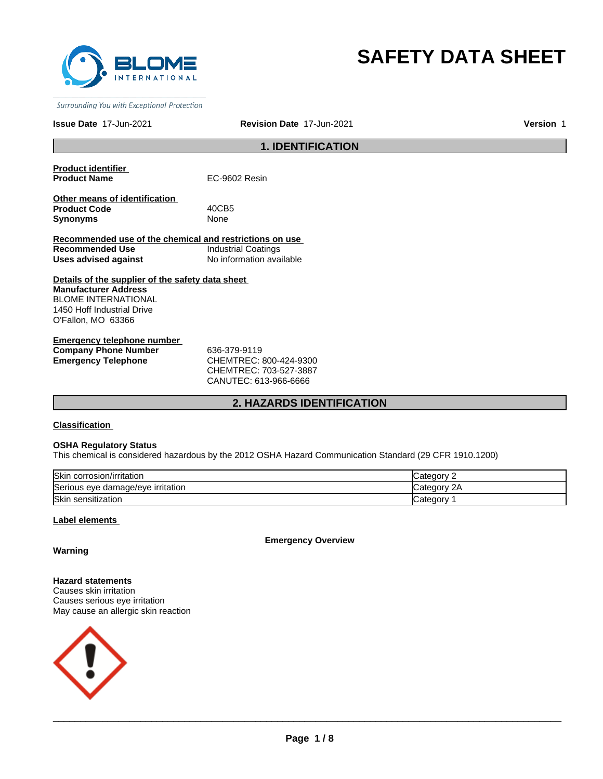

# **SAFETY DATA SHEET**

Surrounding You with Exceptional Protection

# **Issue Date** 17-Jun-2021 **Revision Date** 17-Jun-2021 **Version** 1

# **1. IDENTIFICATION**

**Product identifier** 

**EC-9602 Resin** 

**Other means of identification Product Code** 40CB5 **Synonyms** None

**Recommended use of the chemical and restrictions on use Recommended Use Industrial Coatings<br>
Uses advised against Industrial No information ava Uses advised against** No information available

**Details of the supplier of the safety data sheet Manufacturer Address** BLOME INTERNATIONAL 1450 Hoff Industrial Drive O'Fallon, MO 63366

**Emergency telephone number Company Phone Number** 636-379-9119 **Emergency Telephone** CHEMTREC: 800-424-9300

CHEMTREC: 703-527-3887 CANUTEC: 613-966-6666

# **2. HAZARDS IDENTIFICATION**

**Classification** 

# **OSHA Regulatory Status**

This chemical is considered hazardous by the 2012 OSHA Hazard Communication Standard (29 CFR 1910.1200)

| <b>Skin</b><br>corrosion/irritation | ≀aor                       |
|-------------------------------------|----------------------------|
| Serious eye damage/eye irritation   | 2Α<br>Jatedor <sup>y</sup> |
| Skin<br>ı sensitization             | −ategor                    |

# **Label elements**

**Emergency Overview**

# **Warning**

**Hazard statements** Causes skin irritation Causes serious eye irritation May cause an allergic skin reaction

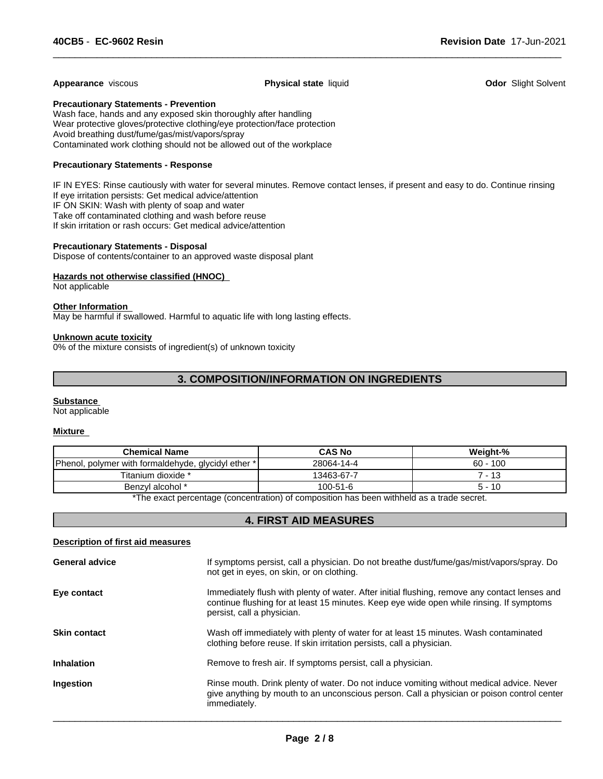# **Appearance** viscous **Physical state** liquid **Odor** Slight Solvent

 $\overline{\phantom{a}}$  ,  $\overline{\phantom{a}}$  ,  $\overline{\phantom{a}}$  ,  $\overline{\phantom{a}}$  ,  $\overline{\phantom{a}}$  ,  $\overline{\phantom{a}}$  ,  $\overline{\phantom{a}}$  ,  $\overline{\phantom{a}}$  ,  $\overline{\phantom{a}}$  ,  $\overline{\phantom{a}}$  ,  $\overline{\phantom{a}}$  ,  $\overline{\phantom{a}}$  ,  $\overline{\phantom{a}}$  ,  $\overline{\phantom{a}}$  ,  $\overline{\phantom{a}}$  ,  $\overline{\phantom{a}}$ 

# **Precautionary Statements - Prevention**

Wash face, hands and any exposed skin thoroughly after handling Wear protective gloves/protective clothing/eye protection/face protection Avoid breathing dust/fume/gas/mist/vapors/spray Contaminated work clothing should not be allowed out of the workplace

# **Precautionary Statements - Response**

IF IN EYES: Rinse cautiously with water for several minutes. Remove contact lenses, if present and easy to do. Continue rinsing If eye irritation persists: Get medical advice/attention IF ON SKIN: Wash with plenty of soap and water Take off contaminated clothing and wash before reuse If skin irritation or rash occurs: Get medical advice/attention

# **Precautionary Statements - Disposal**

Dispose of contents/container to an approved waste disposal plant

# **Hazards not otherwise classified (HNOC)**

Not applicable

# **Other Information**

May be harmful if swallowed. Harmful to aquatic life with long lasting effects.

#### **Unknown acute toxicity**

0% of the mixture consists of ingredient(s) of unknown toxicity

# **3. COMPOSITION/INFORMATION ON INGREDIENTS**

#### **Substance**

Not applicable

#### **Mixture**

| <b>Chemical Name</b>                                | <b>CAS No</b> | Weight-%   |
|-----------------------------------------------------|---------------|------------|
| Phenol, polymer with formaldehyde, glycidyl ether * | 28064-14-4    | $60 - 100$ |
| Titanium dioxide *                                  | 13463-67-7    | -13        |
| Benzyl alcohol *                                    | 100-51-6      | 5 - 10     |

\*The exact percentage (concentration) of composition has been withheld as a trade secret.

# **4. FIRST AID MEASURES**

# **Description of first aid measures**

| <b>General advice</b> | If symptoms persist, call a physician. Do not breathe dust/fume/gas/mist/vapors/spray. Do<br>not get in eyes, on skin, or on clothing.                                                                                  |
|-----------------------|-------------------------------------------------------------------------------------------------------------------------------------------------------------------------------------------------------------------------|
| Eye contact           | Immediately flush with plenty of water. After initial flushing, remove any contact lenses and<br>continue flushing for at least 15 minutes. Keep eye wide open while rinsing. If symptoms<br>persist, call a physician. |
| <b>Skin contact</b>   | Wash off immediately with plenty of water for at least 15 minutes. Wash contaminated<br>clothing before reuse. If skin irritation persists, call a physician.                                                           |
| <b>Inhalation</b>     | Remove to fresh air. If symptoms persist, call a physician.                                                                                                                                                             |
| Ingestion             | Rinse mouth. Drink plenty of water. Do not induce vomiting without medical advice. Never<br>give anything by mouth to an unconscious person. Call a physician or poison control center<br>immediately.                  |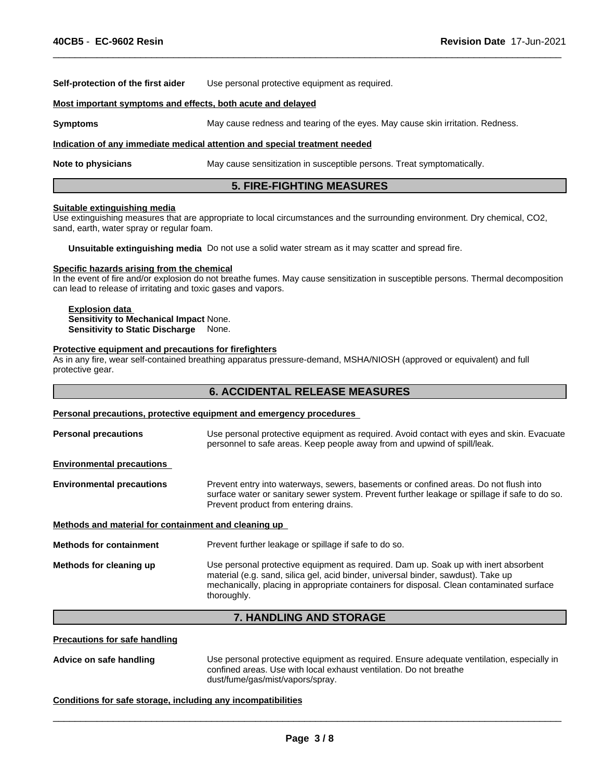**Self-protection of the first aider** Use personal protective equipment as required.

#### **Most important symptoms and effects, both acute and delayed**

**Symptoms** May cause redness and tearing of the eyes. May cause skin irritation. Redness.

#### **Indication of any immediate medical attention and special treatment needed**

**Note to physicians** May cause sensitization in susceptible persons. Treat symptomatically.

# **5. FIRE-FIGHTING MEASURES**

 $\overline{\phantom{a}}$  ,  $\overline{\phantom{a}}$  ,  $\overline{\phantom{a}}$  ,  $\overline{\phantom{a}}$  ,  $\overline{\phantom{a}}$  ,  $\overline{\phantom{a}}$  ,  $\overline{\phantom{a}}$  ,  $\overline{\phantom{a}}$  ,  $\overline{\phantom{a}}$  ,  $\overline{\phantom{a}}$  ,  $\overline{\phantom{a}}$  ,  $\overline{\phantom{a}}$  ,  $\overline{\phantom{a}}$  ,  $\overline{\phantom{a}}$  ,  $\overline{\phantom{a}}$  ,  $\overline{\phantom{a}}$ 

#### **Suitable extinguishing media**

Use extinguishing measures that are appropriate to local circumstances and the surrounding environment. Dry chemical, CO2, sand, earth, water spray or regular foam.

**Unsuitable extinguishing media** Do not use a solid water stream as it may scatter and spread fire.

#### **Specific hazards arising from the chemical**

In the event of fire and/or explosion do not breathe fumes. May cause sensitization in susceptible persons. Thermal decomposition can lead to release of irritating and toxic gases and vapors.

# **Explosion data**

**Sensitivity to Mechanical Impact** None. **Sensitivity to Static Discharge** None.

#### **Protective equipment and precautions for firefighters**

As in any fire, wear self-contained breathing apparatus pressure-demand, MSHA/NIOSH (approved or equivalent) and full protective gear.

# **6. ACCIDENTAL RELEASE MEASURES**

#### **Personal precautions, protective equipment and emergency procedures**

**Personal precautions** Use personal protective equipment as required. Avoid contact with eyes and skin. Evacuate personnel to safe areas. Keep people away from and upwind of spill/leak. **Environmental precautions Environmental precautions** Prevent entry into waterways, sewers, basements or confined areas. Do not flush into surface water or sanitary sewer system. Prevent further leakage or spillage if safe to do so. Prevent product from entering drains. **Methods and material for containment and cleaning up Methods for containment** Prevent further leakage or spillage if safe to do so. **Methods for cleaning up** Use personal protective equipment as required. Dam up. Soak up with inert absorbent material (e.g. sand, silica gel, acid binder, universal binder, sawdust). Take up mechanically, placing in appropriate containers for disposal. Clean contaminated surface thoroughly.

# **7. HANDLING AND STORAGE**

# **Precautions for safe handling**

**Advice on safe handling** Use personal protective equipment as required. Ensure adequate ventilation, especially in confined areas. Use with local exhaust ventilation. Do not breathe dust/fume/gas/mist/vapors/spray.

 $\overline{\phantom{a}}$  ,  $\overline{\phantom{a}}$  ,  $\overline{\phantom{a}}$  ,  $\overline{\phantom{a}}$  ,  $\overline{\phantom{a}}$  ,  $\overline{\phantom{a}}$  ,  $\overline{\phantom{a}}$  ,  $\overline{\phantom{a}}$  ,  $\overline{\phantom{a}}$  ,  $\overline{\phantom{a}}$  ,  $\overline{\phantom{a}}$  ,  $\overline{\phantom{a}}$  ,  $\overline{\phantom{a}}$  ,  $\overline{\phantom{a}}$  ,  $\overline{\phantom{a}}$  ,  $\overline{\phantom{a}}$ 

#### **Conditions for safe storage, including any incompatibilities**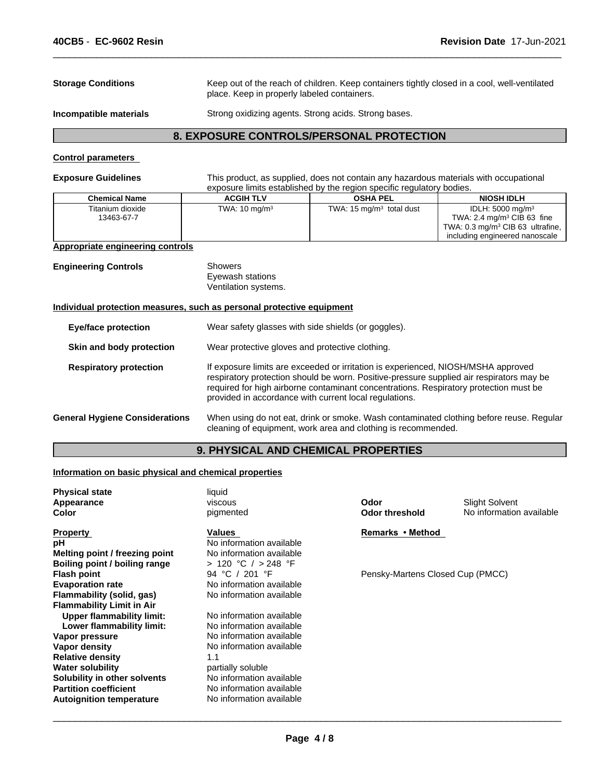| <b>Storage Conditions</b>               | place. Keep in properly labeled containers.          | Keep out of the reach of children. Keep containers tightly closed in a cool, well-ventilated                                                                   |                                                                                                                                                         |
|-----------------------------------------|------------------------------------------------------|----------------------------------------------------------------------------------------------------------------------------------------------------------------|---------------------------------------------------------------------------------------------------------------------------------------------------------|
| Incompatible materials                  | Strong oxidizing agents. Strong acids. Strong bases. |                                                                                                                                                                |                                                                                                                                                         |
|                                         |                                                      | 8. EXPOSURE CONTROLS/PERSONAL PROTECTION                                                                                                                       |                                                                                                                                                         |
| <b>Control parameters</b>               |                                                      |                                                                                                                                                                |                                                                                                                                                         |
| <b>Exposure Guidelines</b>              |                                                      | This product, as supplied, does not contain any hazardous materials with occupational<br>exposure limits established by the region specific regulatory bodies. |                                                                                                                                                         |
| <b>Chemical Name</b>                    | <b>ACGIH TLV</b>                                     | <b>OSHA PEL</b>                                                                                                                                                | <b>NIOSH IDLH</b>                                                                                                                                       |
| Titanium dioxide<br>13463-67-7          | TWA: $10 \text{ mg/m}^3$                             | TWA: $15 \text{ mg/m}^3$ total dust                                                                                                                            | IDLH: 5000 mg/m <sup>3</sup><br>TWA: $2.4 \text{ mg/m}^3$ CIB 63 fine<br>TWA: 0.3 mg/m <sup>3</sup> CIB 63 ultrafine,<br>including engineered nanoscale |
| <b>Appropriate engineering controls</b> |                                                      |                                                                                                                                                                |                                                                                                                                                         |
| <b>Engineering Controls</b>             | <b>Showers</b>                                       |                                                                                                                                                                |                                                                                                                                                         |

 $\overline{\phantom{a}}$  ,  $\overline{\phantom{a}}$  ,  $\overline{\phantom{a}}$  ,  $\overline{\phantom{a}}$  ,  $\overline{\phantom{a}}$  ,  $\overline{\phantom{a}}$  ,  $\overline{\phantom{a}}$  ,  $\overline{\phantom{a}}$  ,  $\overline{\phantom{a}}$  ,  $\overline{\phantom{a}}$  ,  $\overline{\phantom{a}}$  ,  $\overline{\phantom{a}}$  ,  $\overline{\phantom{a}}$  ,  $\overline{\phantom{a}}$  ,  $\overline{\phantom{a}}$  ,  $\overline{\phantom{a}}$ 

Eyewash stations

Ventilation systems.

# **Individual protection measures, such as personal protective equipment**

| <b>Eye/face protection</b>            | Wear safety glasses with side shields (or goggles).                                                                                                                                                                                                                                                                              |
|---------------------------------------|----------------------------------------------------------------------------------------------------------------------------------------------------------------------------------------------------------------------------------------------------------------------------------------------------------------------------------|
| Skin and body protection              | Wear protective gloves and protective clothing.                                                                                                                                                                                                                                                                                  |
| <b>Respiratory protection</b>         | If exposure limits are exceeded or irritation is experienced, NIOSH/MSHA approved<br>respiratory protection should be worn. Positive-pressure supplied air respirators may be<br>required for high airborne contaminant concentrations. Respiratory protection must be<br>provided in accordance with current local regulations. |
| <b>General Hygiene Considerations</b> | When using do not eat, drink or smoke. Wash contaminated clothing before reuse. Regular<br>cleaning of equipment, work area and clothing is recommended.                                                                                                                                                                         |

# **9. PHYSICAL AND CHEMICAL PROPERTIES**

# **Information on basic physical and chemical properties**

| <b>Physical state</b>            | liquid                   |                                  |                          |
|----------------------------------|--------------------------|----------------------------------|--------------------------|
| Appearance                       | viscous                  | Odor                             | <b>Slight Solvent</b>    |
| Color                            | pigmented                | <b>Odor threshold</b>            | No information available |
| <b>Property</b>                  | Values                   | Remarks • Method                 |                          |
| рH                               | No information available |                                  |                          |
| Melting point / freezing point   | No information available |                                  |                          |
| Boiling point / boiling range    | > 120 °C / > 248 °F      |                                  |                          |
| <b>Flash point</b>               | 94 °C / 201 °F           | Pensky-Martens Closed Cup (PMCC) |                          |
| <b>Evaporation rate</b>          | No information available |                                  |                          |
| Flammability (solid, gas)        | No information available |                                  |                          |
| <b>Flammability Limit in Air</b> |                          |                                  |                          |
| <b>Upper flammability limit:</b> | No information available |                                  |                          |
| Lower flammability limit:        | No information available |                                  |                          |
| Vapor pressure                   | No information available |                                  |                          |
| Vapor density                    | No information available |                                  |                          |
| <b>Relative density</b>          | 1.1                      |                                  |                          |
| <b>Water solubility</b>          | partially soluble        |                                  |                          |
| Solubility in other solvents     | No information available |                                  |                          |
| <b>Partition coefficient</b>     | No information available |                                  |                          |
| <b>Autoignition temperature</b>  | No information available |                                  |                          |
|                                  |                          |                                  |                          |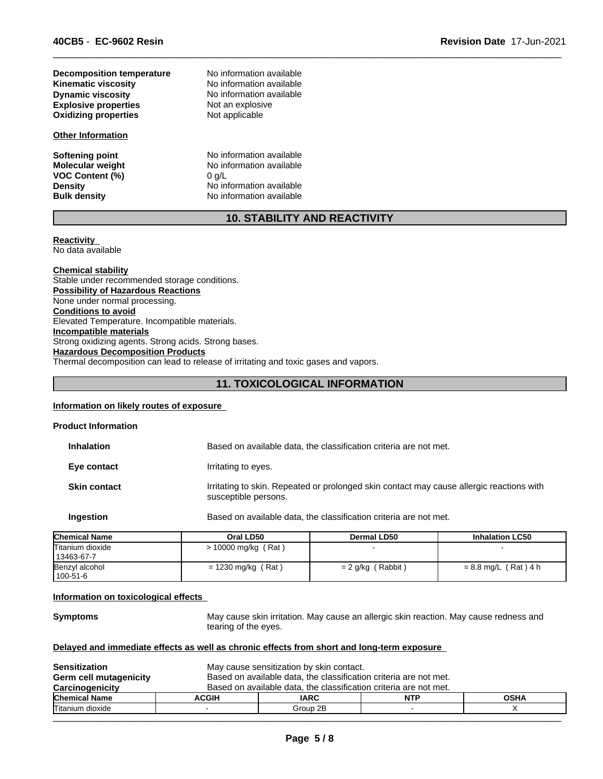| Decomposition temperature   | No information available |  |
|-----------------------------|--------------------------|--|
| <b>Kinematic viscosity</b>  | No information available |  |
| <b>Dynamic viscosity</b>    | No information available |  |
| <b>Explosive properties</b> | Not an explosive         |  |
| <b>Oxidizing properties</b> | Not applicable           |  |

# **Other Information**

**VOC Content (%)**<br>Density

**Softening point** No information available **Molecular weight**<br> **VOC Content (%)**<br>  $0 \text{ g/L}$   $0 \text{ g/L}$ **Density Density Density No** information available **Bulk density No** information available **No information available** 

# **10. STABILITY AND REACTIVITY**

 $\overline{\phantom{a}}$  ,  $\overline{\phantom{a}}$  ,  $\overline{\phantom{a}}$  ,  $\overline{\phantom{a}}$  ,  $\overline{\phantom{a}}$  ,  $\overline{\phantom{a}}$  ,  $\overline{\phantom{a}}$  ,  $\overline{\phantom{a}}$  ,  $\overline{\phantom{a}}$  ,  $\overline{\phantom{a}}$  ,  $\overline{\phantom{a}}$  ,  $\overline{\phantom{a}}$  ,  $\overline{\phantom{a}}$  ,  $\overline{\phantom{a}}$  ,  $\overline{\phantom{a}}$  ,  $\overline{\phantom{a}}$ 

#### **Reactivity**  No data available

**Chemical stability** Stable under recommended storage conditions. **Possibility of Hazardous Reactions** None under normal processing. **Conditions to avoid** Elevated Temperature. Incompatible materials. **Incompatible materials** Strong oxidizing agents. Strong acids. Strong bases. **Hazardous Decomposition Products** Thermal decomposition can lead to release of irritating and toxic gases and vapors.

# **11. TOXICOLOGICAL INFORMATION**

# **Information on likely routes of exposure**

| Chamisal Name              | $O1 + O2$            | <b>Dermal I DEA</b>                                                                      | Inhalation   CEO |
|----------------------------|----------------------|------------------------------------------------------------------------------------------|------------------|
| Ingestion                  |                      | Based on available data, the classification criteria are not met.                        |                  |
| <b>Skin contact</b>        | susceptible persons. | Irritating to skin. Repeated or prolonged skin contact may cause allergic reactions with |                  |
| Eye contact                | Irritating to eyes.  |                                                                                          |                  |
| <b>Inhalation</b>          |                      | Based on available data, the classification criteria are not met.                        |                  |
| <b>Product Information</b> |                      |                                                                                          |                  |

| <b>Chemical Name</b> | Oral LD50             | Dermal LD50          | <b>Inhalation LC50</b> |
|----------------------|-----------------------|----------------------|------------------------|
| Titanium dioxide     | $> 10000$ mg/kg (Rat) |                      |                        |
| 13463-67-7           |                       |                      |                        |
| Benzyl alcohol       | $= 1230$ mg/kg (Rat)  | Rabbit<br>$= 2$ g/kg | $= 8.8$ mg/L (Rat) 4 h |
| 100-51-6             |                       |                      |                        |

#### **Information on toxicological effects**

**Symptoms** May cause skin irritation. May cause an allergic skin reaction. May cause redness and tearing of the eyes.

# **Delayed and immediate effects as well as chronic effects from short and long-term exposure**

| <b>Sensitization</b><br><b>Germ cell mutagenicity</b> |              | May cause sensitization by skin contact.<br>Based on available data, the classification criteria are not met. |  |  |  |
|-------------------------------------------------------|--------------|---------------------------------------------------------------------------------------------------------------|--|--|--|
| Carcinogenicity                                       |              | Based on available data, the classification criteria are not met.                                             |  |  |  |
| <b>Chemical Name</b>                                  | <b>ACGIH</b> | <b>IARC</b><br><b>OSHA</b><br><b>NTP</b>                                                                      |  |  |  |
| Titanium dioxide                                      |              | Group 2B                                                                                                      |  |  |  |
|                                                       |              |                                                                                                               |  |  |  |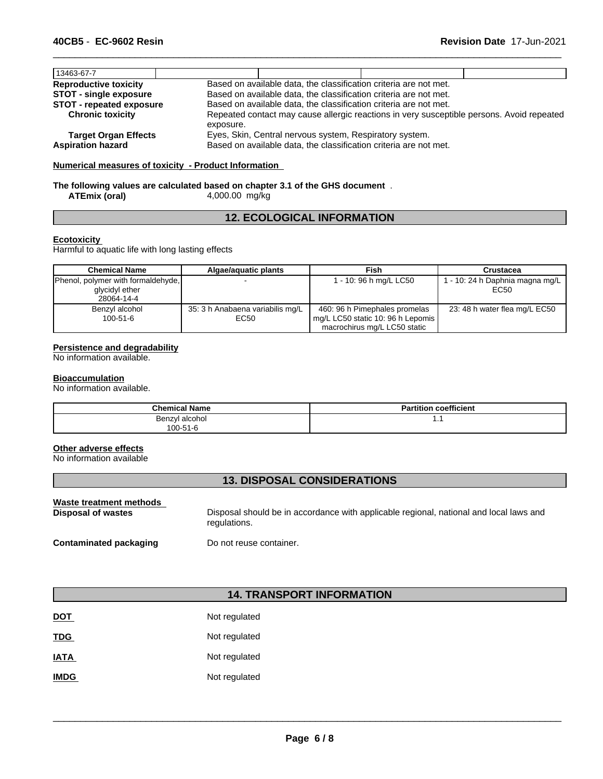| 13463-67-7                                              |                                                                                                                              |                                                                   |  |  |
|---------------------------------------------------------|------------------------------------------------------------------------------------------------------------------------------|-------------------------------------------------------------------|--|--|
| <b>Reproductive toxicity</b>                            | Based on available data, the classification criteria are not met.                                                            |                                                                   |  |  |
| <b>STOT - single exposure</b>                           | Based on available data, the classification criteria are not met.                                                            |                                                                   |  |  |
| <b>STOT - repeated exposure</b>                         |                                                                                                                              | Based on available data, the classification criteria are not met. |  |  |
| <b>Chronic toxicity</b>                                 | Repeated contact may cause allergic reactions in very susceptible persons. Avoid repeated<br>exposure.                       |                                                                   |  |  |
| <b>Target Organ Effects</b><br><b>Aspiration hazard</b> | Eyes, Skin, Central nervous system, Respiratory system.<br>Based on available data, the classification criteria are not met. |                                                                   |  |  |

 $\overline{\phantom{a}}$  ,  $\overline{\phantom{a}}$  ,  $\overline{\phantom{a}}$  ,  $\overline{\phantom{a}}$  ,  $\overline{\phantom{a}}$  ,  $\overline{\phantom{a}}$  ,  $\overline{\phantom{a}}$  ,  $\overline{\phantom{a}}$  ,  $\overline{\phantom{a}}$  ,  $\overline{\phantom{a}}$  ,  $\overline{\phantom{a}}$  ,  $\overline{\phantom{a}}$  ,  $\overline{\phantom{a}}$  ,  $\overline{\phantom{a}}$  ,  $\overline{\phantom{a}}$  ,  $\overline{\phantom{a}}$ 

# **Numerical measures of toxicity - Product Information**

# **The following values are calculated based on chapter 3.1 of the GHS document** . **ATEmix (oral)** 4,000.00 mg/kg

# **12. ECOLOGICAL INFORMATION**

# **Ecotoxicity**

Harmful to aquatic life with long lasting effects

| <b>Chemical Name</b>               | Algae/aguatic plants             | <b>Fish</b>                       | Crustacea                       |
|------------------------------------|----------------------------------|-----------------------------------|---------------------------------|
| Phenol, polymer with formaldehyde, |                                  | 1 - 10: 96 h mg/L LC50            | 1 - 10: 24 h Daphnia magna mg/L |
| glycidyl ether                     |                                  |                                   | EC50                            |
| 28064-14-4                         |                                  |                                   |                                 |
| Benzyl alcohol                     | 35: 3 h Anabaena variabilis mg/L | 460: 96 h Pimephales promelas     | 23: 48 h water flea mg/L EC50   |
| 100-51-6                           | EC50                             | mg/L LC50 static 10: 96 h Lepomis |                                 |
|                                    |                                  | macrochirus mg/L LC50 static      |                                 |

# **Persistence and degradability**

No information available.

# **Bioaccumulation**

No information available.

| <b>Chemical Name</b> | <b>Partition coefficient</b> |
|----------------------|------------------------------|
| Benzyl alcohol       | . .                          |
| 100-51-6             |                              |

# **Other adverse effects**

No information available

# **13. DISPOSAL CONSIDERATIONS**

| Waste treatment methods       | Disposal should be in accordance with applicable regional, national and local laws and |
|-------------------------------|----------------------------------------------------------------------------------------|
| Disposal of wastes            | regulations.                                                                           |
| <b>Contaminated packaging</b> | Do not reuse container.                                                                |

# **14. TRANSPORT INFORMATION**

| <b>DOT</b>  | Not regulated |
|-------------|---------------|
| <b>TDG</b>  | Not regulated |
| <b>IATA</b> | Not regulated |
| <b>IMDG</b> | Not regulated |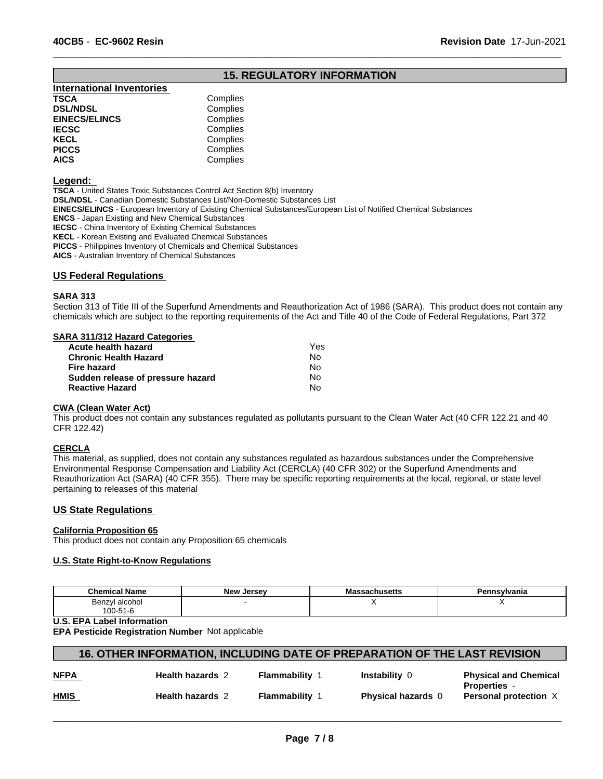# **15. REGULATORY INFORMATION**

 $\overline{\phantom{a}}$  ,  $\overline{\phantom{a}}$  ,  $\overline{\phantom{a}}$  ,  $\overline{\phantom{a}}$  ,  $\overline{\phantom{a}}$  ,  $\overline{\phantom{a}}$  ,  $\overline{\phantom{a}}$  ,  $\overline{\phantom{a}}$  ,  $\overline{\phantom{a}}$  ,  $\overline{\phantom{a}}$  ,  $\overline{\phantom{a}}$  ,  $\overline{\phantom{a}}$  ,  $\overline{\phantom{a}}$  ,  $\overline{\phantom{a}}$  ,  $\overline{\phantom{a}}$  ,  $\overline{\phantom{a}}$ 

| <b>International Inventories</b> |          |
|----------------------------------|----------|
| TSCA                             | Complies |
| <b>DSL/NDSL</b>                  | Complies |
| <b>EINECS/ELINCS</b>             | Complies |
| IECSC                            | Complies |
| KECL                             | Complies |
| PICCS                            | Complies |
| AICS.                            | Complies |
|                                  |          |

#### **Legend:**

**TSCA** - United States Toxic Substances Control Act Section 8(b) Inventory **DSL/NDSL** - Canadian Domestic Substances List/Non-Domestic Substances List **EINECS/ELINCS** - European Inventory of Existing Chemical Substances/European List of Notified Chemical Substances **ENCS** - Japan Existing and New Chemical Substances **IECSC** - China Inventory of Existing Chemical Substances **KECL** - Korean Existing and Evaluated Chemical Substances **PICCS** - Philippines Inventory of Chemicals and Chemical Substances

**AICS** - Australian Inventory of Chemical Substances

**US Federal Regulations** 

# **SARA 313**

Section 313 of Title III of the Superfund Amendments and Reauthorization Act of 1986 (SARA). This product does not contain any chemicals which are subject to the reporting requirements of the Act and Title 40 of the Code of Federal Regulations, Part 372

#### **SARA 311/312 Hazard Categories**

| Acute health hazard               | Yes |  |
|-----------------------------------|-----|--|
| Chronic Health Hazard             | No. |  |
| Fire hazard                       | Nο  |  |
| Sudden release of pressure hazard | N٥  |  |
| <b>Reactive Hazard</b>            | N٥  |  |
|                                   |     |  |

#### **CWA (Clean Water Act)**

This product does not contain any substances regulated as pollutants pursuant to the Clean Water Act (40 CFR 122.21 and 40 CFR 122.42)

# **CERCLA**

This material, as supplied, does not contain any substances regulated as hazardous substances under the Comprehensive Environmental Response Compensation and Liability Act (CERCLA) (40 CFR 302) or the Superfund Amendments and Reauthorization Act (SARA) (40 CFR 355). There may be specific reporting requirements at the local, regional, or state level pertaining to releases of this material

# **US State Regulations**

# **California Proposition 65**

This product does not contain any Proposition 65 chemicals

#### **U.S. State Right-to-Know Regulations**

| <b>Chemical Name</b>     | مرماہ<br>Jersev | $\cdots$<br>saunustus | `nsylvania |
|--------------------------|-----------------|-----------------------|------------|
| alcohol<br>Benzy'<br>.   |                 |                       | . .        |
| $-10$<br>100<br>$-1 - 7$ |                 |                       |            |

# **U.S. EPA Label Information**

**EPA Pesticide Registration Number** Not applicable

| 16. OTHER INFORMATION, INCLUDING DATE OF PREPARATION OF THE LAST REVISION |
|---------------------------------------------------------------------------|
|---------------------------------------------------------------------------|

| <b>NFPA</b> | <b>Health hazards 2</b> | Flammability | <b>Instability</b>      | <b>Physical and Chemical</b><br><b>Properties</b> |
|-------------|-------------------------|--------------|-------------------------|---------------------------------------------------|
| <b>HMIS</b> | <b>Health hazards 2</b> | Flammability | <b>Physical hazards</b> | <b>Personal protection X</b>                      |